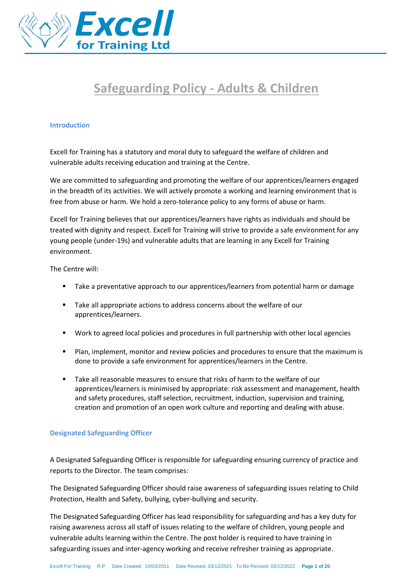

# **Safeguarding Policy - Adults & Children**

#### **Introduction**

Excell for Training has a statutory and moral duty to safeguard the welfare of children and vulnerable adults receiving education and training at the Centre.

We are committed to safeguarding and promoting the welfare of our apprentices/learners engaged in the breadth of its activities. We will actively promote a working and learning environment that is free from abuse or harm. We hold a zero-tolerance policy to any forms of abuse or harm.

Excell for Training believes that our apprentices/learners have rights as individuals and should be treated with dignity and respect. Excell for Training will strive to provide a safe environment for any young people (under-19s) and vulnerable adults that are learning in any Excell for Training environment.

The Centre will:

- Take a preventative approach to our apprentices/learners from potential harm or damage
- Take all appropriate actions to address concerns about the welfare of our apprentices/learners.
- Work to agreed local policies and procedures in full partnership with other local agencies
- Plan, implement, monitor and review policies and procedures to ensure that the maximum is done to provide a safe environment for apprentices/learners in the Centre.
- Take all reasonable measures to ensure that risks of harm to the welfare of our apprentices/learners is minimised by appropriate: risk assessment and management, health and safety procedures, staff selection, recruitment, induction, supervision and training, creation and promotion of an open work culture and reporting and dealing with abuse.

# **Designated Safeguarding Officer**

A Designated Safeguarding Officer is responsible for safeguarding ensuring currency of practice and reports to the Director. The team comprises:

The Designated Safeguarding Officer should raise awareness of safeguarding issues relating to Child Protection, Health and Safety, bullying, cyber-bullying and security.

The Designated Safeguarding Officer has lead responsibility for safeguarding and has a key duty for raising awareness across all staff of issues relating to the welfare of children, young people and vulnerable adults learning within the Centre. The post holder is required to have training in safeguarding issues and inter-agency working and receive refresher training as appropriate.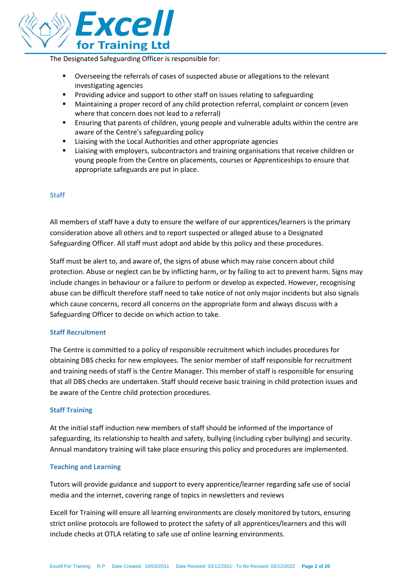

The Designated Safeguarding Officer is responsible for:

- Overseeing the referrals of cases of suspected abuse or allegations to the relevant investigating agencies
- Providing advice and support to other staff on issues relating to safeguarding
- Maintaining a proper record of any child protection referral, complaint or concern (even where that concern does not lead to a referral)
- Ensuring that parents of children, young people and vulnerable adults within the centre are aware of the Centre's safeguarding policy
- Liaising with the Local Authorities and other appropriate agencies
- **EXECT** Liaising with employers, subcontractors and training organisations that receive children or young people from the Centre on placements, courses or Apprenticeships to ensure that appropriate safeguards are put in place.

# **Staff**

All members of staff have a duty to ensure the welfare of our apprentices/learners is the primary consideration above all others and to report suspected or alleged abuse to a Designated Safeguarding Officer. All staff must adopt and abide by this policy and these procedures.

Staff must be alert to, and aware of, the signs of abuse which may raise concern about child protection. Abuse or neglect can be by inflicting harm, or by failing to act to prevent harm. Signs may include changes in behaviour or a failure to perform or develop as expected. However, recognising abuse can be difficult therefore staff need to take notice of not only major incidents but also signals which cause concerns, record all concerns on the appropriate form and always discuss with a Safeguarding Officer to decide on which action to take.

# **Staff Recruitment**

The Centre is committed to a policy of responsible recruitment which includes procedures for obtaining DBS checks for new employees. The senior member of staff responsible for recruitment and training needs of staff is the Centre Manager. This member of staff is responsible for ensuring that all DBS checks are undertaken. Staff should receive basic training in child protection issues and be aware of the Centre child protection procedures.

# **Staff Training**

At the initial staff induction new members of staff should be informed of the importance of safeguarding, its relationship to health and safety, bullying (including cyber bullying) and security. Annual mandatory training will take place ensuring this policy and procedures are implemented.

# **Teaching and Learning**

Tutors will provide guidance and support to every apprentice/learner regarding safe use of social media and the internet, covering range of topics in newsletters and reviews

Excell for Training will ensure all learning environments are closely monitored by tutors, ensuring strict online protocols are followed to protect the safety of all apprentices/learners and this will include checks at OTLA relating to safe use of online learning environments.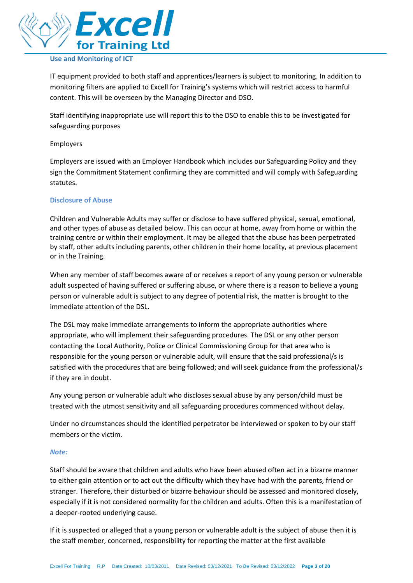

# **Use and Monitoring of ICT**

IT equipment provided to both staff and apprentices/learners is subject to monitoring. In addition to monitoring filters are applied to Excell for Training's systems which will restrict access to harmful content. This will be overseen by the Managing Director and DSO.

Staff identifying inappropriate use will report this to the DSO to enable this to be investigated for safeguarding purposes

#### Employers

Employers are issued with an Employer Handbook which includes our Safeguarding Policy and they sign the Commitment Statement confirming they are committed and will comply with Safeguarding statutes.

#### **Disclosure of Abuse**

Children and Vulnerable Adults may suffer or disclose to have suffered physical, sexual, emotional, and other types of abuse as detailed below. This can occur at home, away from home or within the training centre or within their employment. It may be alleged that the abuse has been perpetrated by staff, other adults including parents, other children in their home locality, at previous placement or in the Training.

When any member of staff becomes aware of or receives a report of any young person or vulnerable adult suspected of having suffered or suffering abuse, or where there is a reason to believe a young person or vulnerable adult is subject to any degree of potential risk, the matter is brought to the immediate attention of the DSL.

The DSL may make immediate arrangements to inform the appropriate authorities where appropriate, who will implement their safeguarding procedures. The DSL or any other person contacting the Local Authority, Police or Clinical Commissioning Group for that area who is responsible for the young person or vulnerable adult, will ensure that the said professional/s is satisfied with the procedures that are being followed; and will seek guidance from the professional/s if they are in doubt.

Any young person or vulnerable adult who discloses sexual abuse by any person/child must be treated with the utmost sensitivity and all safeguarding procedures commenced without delay.

Under no circumstances should the identified perpetrator be interviewed or spoken to by our staff members or the victim.

#### *Note:*

Staff should be aware that children and adults who have been abused often act in a bizarre manner to either gain attention or to act out the difficulty which they have had with the parents, friend or stranger. Therefore, their disturbed or bizarre behaviour should be assessed and monitored closely, especially if it is not considered normality for the children and adults. Often this is a manifestation of a deeper-rooted underlying cause.

If it is suspected or alleged that a young person or vulnerable adult is the subject of abuse then it is the staff member, concerned, responsibility for reporting the matter at the first available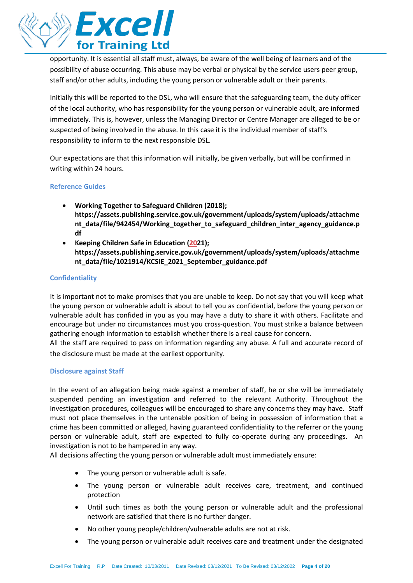

opportunity. It is essential all staff must, always, be aware of the well being of learners and of the possibility of abuse occurring. This abuse may be verbal or physical by the service users peer group, staff and/or other adults, including the young person or vulnerable adult or their parents.

Initially this will be reported to the DSL, who will ensure that the safeguarding team, the duty officer of the local authority, who has responsibility for the young person or vulnerable adult, are informed immediately. This is, however, unless the Managing Director or Centre Manager are alleged to be or suspected of being involved in the abuse. In this case it is the individual member of staff's responsibility to inform to the next responsible DSL.

Our expectations are that this information will initially, be given verbally, but will be confirmed in writing within 24 hours.

#### **Reference Guides**

- **Working Together to Safeguard Children (2018); https://assets.publishing.service.gov.uk/government/uploads/system/uploads/attachme nt\_data/file/942454/Working\_together\_to\_safeguard\_children\_inter\_agency\_guidance.p df**
- **Keeping Children Safe in Education (2021); https://assets.publishing.service.gov.uk/government/uploads/system/uploads/attachme nt\_data/file/1021914/KCSIE\_2021\_September\_guidance.pdf**

#### **Confidentiality**

It is important not to make promises that you are unable to keep. Do not say that you will keep what the young person or vulnerable adult is about to tell you as confidential, before the young person or vulnerable adult has confided in you as you may have a duty to share it with others. Facilitate and encourage but under no circumstances must you cross-question. You must strike a balance between gathering enough information to establish whether there is a real cause for concern.

All the staff are required to pass on information regarding any abuse. A full and accurate record of the disclosure must be made at the earliest opportunity.

#### **Disclosure against Staff**

In the event of an allegation being made against a member of staff, he or she will be immediately suspended pending an investigation and referred to the relevant Authority. Throughout the investigation procedures, colleagues will be encouraged to share any concerns they may have. Staff must not place themselves in the untenable position of being in possession of information that a crime has been committed or alleged, having guaranteed confidentiality to the referrer or the young person or vulnerable adult, staff are expected to fully co-operate during any proceedings. An investigation is not to be hampered in any way.

All decisions affecting the young person or vulnerable adult must immediately ensure:

- The young person or vulnerable adult is safe.
- The young person or vulnerable adult receives care, treatment, and continued protection
- Until such times as both the young person or vulnerable adult and the professional network are satisfied that there is no further danger.
- No other young people/children/vulnerable adults are not at risk.
- The young person or vulnerable adult receives care and treatment under the designated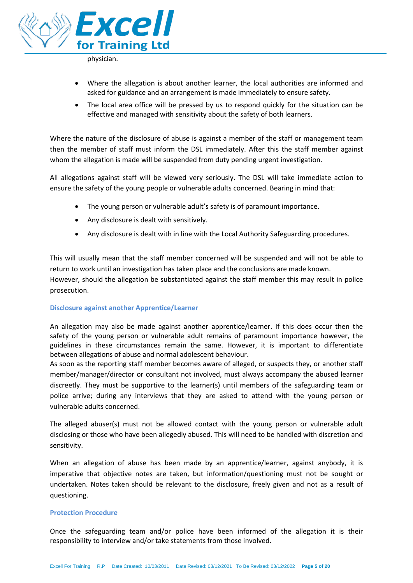

physician.

- Where the allegation is about another learner, the local authorities are informed and asked for guidance and an arrangement is made immediately to ensure safety.
- The local area office will be pressed by us to respond quickly for the situation can be effective and managed with sensitivity about the safety of both learners.

Where the nature of the disclosure of abuse is against a member of the staff or management team then the member of staff must inform the DSL immediately. After this the staff member against whom the allegation is made will be suspended from duty pending urgent investigation.

All allegations against staff will be viewed very seriously. The DSL will take immediate action to ensure the safety of the young people or vulnerable adults concerned. Bearing in mind that:

- The young person or vulnerable adult's safety is of paramount importance.
- Any disclosure is dealt with sensitively.
- Any disclosure is dealt with in line with the Local Authority Safeguarding procedures.

This will usually mean that the staff member concerned will be suspended and will not be able to return to work until an investigation has taken place and the conclusions are made known. However, should the allegation be substantiated against the staff member this may result in police prosecution.

# **Disclosure against another Apprentice/Learner**

An allegation may also be made against another apprentice/learner. If this does occur then the safety of the young person or vulnerable adult remains of paramount importance however, the guidelines in these circumstances remain the same. However, it is important to differentiate between allegations of abuse and normal adolescent behaviour.

As soon as the reporting staff member becomes aware of alleged, or suspects they, or another staff member/manager/director or consultant not involved, must always accompany the abused learner discreetly. They must be supportive to the learner(s) until members of the safeguarding team or police arrive; during any interviews that they are asked to attend with the young person or vulnerable adults concerned.

The alleged abuser(s) must not be allowed contact with the young person or vulnerable adult disclosing or those who have been allegedly abused. This will need to be handled with discretion and sensitivity.

When an allegation of abuse has been made by an apprentice/learner, against anybody, it is imperative that objective notes are taken, but information/questioning must not be sought or undertaken. Notes taken should be relevant to the disclosure, freely given and not as a result of questioning.

#### **Protection Procedure**

Once the safeguarding team and/or police have been informed of the allegation it is their responsibility to interview and/or take statements from those involved.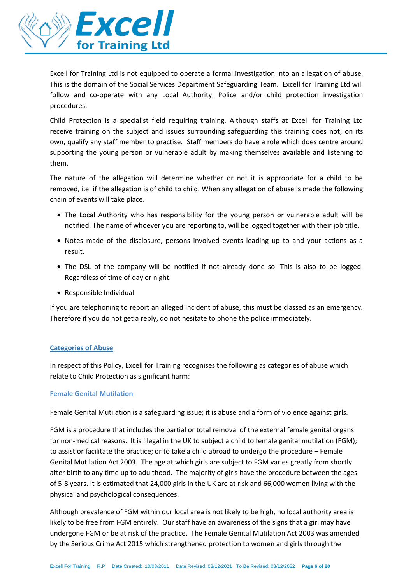

Excell for Training Ltd is not equipped to operate a formal investigation into an allegation of abuse. This is the domain of the Social Services Department Safeguarding Team. Excell for Training Ltd will follow and co-operate with any Local Authority, Police and/or child protection investigation procedures.

Child Protection is a specialist field requiring training. Although staffs at Excell for Training Ltd receive training on the subject and issues surrounding safeguarding this training does not, on its own, qualify any staff member to practise. Staff members do have a role which does centre around supporting the young person or vulnerable adult by making themselves available and listening to them.

The nature of the allegation will determine whether or not it is appropriate for a child to be removed, i.e. if the allegation is of child to child. When any allegation of abuse is made the following chain of events will take place.

- The Local Authority who has responsibility for the young person or vulnerable adult will be notified. The name of whoever you are reporting to, will be logged together with their job title.
- Notes made of the disclosure, persons involved events leading up to and your actions as a result.
- The DSL of the company will be notified if not already done so. This is also to be logged. Regardless of time of day or night.
- Responsible Individual

If you are telephoning to report an alleged incident of abuse, this must be classed as an emergency. Therefore if you do not get a reply, do not hesitate to phone the police immediately.

# **Categories of Abuse**

In respect of this Policy, Excell for Training recognises the following as categories of abuse which relate to Child Protection as significant harm:

# **Female Genital Mutilation**

Female Genital Mutilation is a safeguarding issue; it is abuse and a form of violence against girls.

FGM is a procedure that includes the partial or total removal of the external female genital organs for non-medical reasons. It is illegal in the UK to subject a child to female genital mutilation (FGM); to assist or facilitate the practice; or to take a child abroad to undergo the procedure – Female Genital Mutilation Act 2003. The age at which girls are subject to FGM varies greatly from shortly after birth to any time up to adulthood. The majority of girls have the procedure between the ages of 5-8 years. It is estimated that 24,000 girls in the UK are at risk and 66,000 women living with the physical and psychological consequences.

Although prevalence of FGM within our local area is not likely to be high, no local authority area is likely to be free from FGM entirely. Our staff have an awareness of the signs that a girl may have undergone FGM or be at risk of the practice. The Female Genital Mutilation Act 2003 was amended by the Serious Crime Act 2015 which strengthened protection to women and girls through the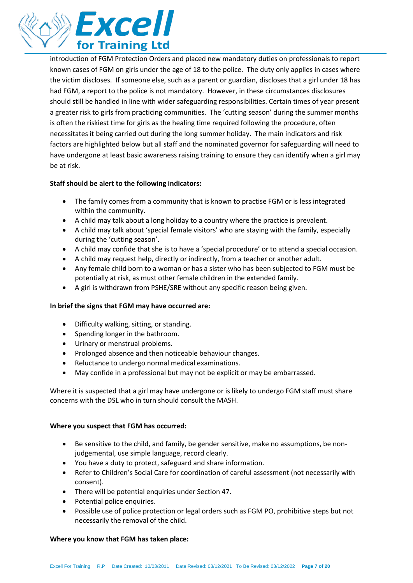

introduction of FGM Protection Orders and placed new mandatory duties on professionals to report known cases of FGM on girls under the age of 18 to the police. The duty only applies in cases where the victim discloses. If someone else, such as a parent or guardian, discloses that a girl under 18 has had FGM, a report to the police is not mandatory. However, in these circumstances disclosures should still be handled in line with wider safeguarding responsibilities. Certain times of year present a greater risk to girls from practicing communities. The 'cutting season' during the summer months is often the riskiest time for girls as the healing time required following the procedure, often necessitates it being carried out during the long summer holiday. The main indicators and risk factors are highlighted below but all staff and the nominated governor for safeguarding will need to have undergone at least basic awareness raising training to ensure they can identify when a girl may be at risk.

# **Staff should be alert to the following indicators:**

- The family comes from a community that is known to practise FGM or is less integrated within the community.
- A child may talk about a long holiday to a country where the practice is prevalent.
- A child may talk about 'special female visitors' who are staying with the family, especially during the 'cutting season'.
- A child may confide that she is to have a 'special procedure' or to attend a special occasion.
- A child may request help, directly or indirectly, from a teacher or another adult.
- Any female child born to a woman or has a sister who has been subjected to FGM must be potentially at risk, as must other female children in the extended family.
- A girl is withdrawn from PSHE/SRE without any specific reason being given.

# **In brief the signs that FGM may have occurred are:**

- Difficulty walking, sitting, or standing.
- Spending longer in the bathroom.
- Urinary or menstrual problems.
- Prolonged absence and then noticeable behaviour changes.
- Reluctance to undergo normal medical examinations.
- May confide in a professional but may not be explicit or may be embarrassed.

Where it is suspected that a girl may have undergone or is likely to undergo FGM staff must share concerns with the DSL who in turn should consult the MASH.

# **Where you suspect that FGM has occurred:**

- Be sensitive to the child, and family, be gender sensitive, make no assumptions, be nonjudgemental, use simple language, record clearly.
- You have a duty to protect, safeguard and share information.
- Refer to Children's Social Care for coordination of careful assessment (not necessarily with consent).
- There will be potential enquiries under Section 47.
- Potential police enquiries.
- Possible use of police protection or legal orders such as FGM PO, prohibitive steps but not necessarily the removal of the child.

#### **Where you know that FGM has taken place:**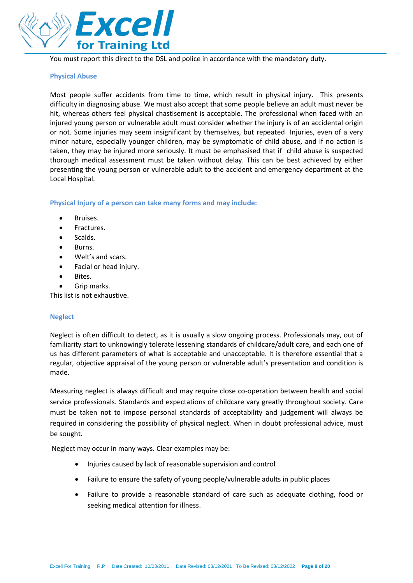

You must report this direct to the DSL and police in accordance with the mandatory duty.

#### **Physical Abuse**

Most people suffer accidents from time to time, which result in physical injury. This presents difficulty in diagnosing abuse. We must also accept that some people believe an adult must never be hit, whereas others feel physical chastisement is acceptable. The professional when faced with an injured young person or vulnerable adult must consider whether the injury is of an accidental origin or not. Some injuries may seem insignificant by themselves, but repeated Injuries, even of a very minor nature, especially younger children, may be symptomatic of child abuse, and if no action is taken, they may be injured more seriously. It must be emphasised that if child abuse is suspected thorough medical assessment must be taken without delay. This can be best achieved by either presenting the young person or vulnerable adult to the accident and emergency department at the Local Hospital.

**Physical Injury of a person can take many forms and may include:**

- Bruises.
- Fractures.
- Scalds.
- Burns.
- Welt's and scars.
- Facial or head injury.
- Bites.
- Grip marks.

This list is not exhaustive.

# **Neglect**

Neglect is often difficult to detect, as it is usually a slow ongoing process. Professionals may, out of familiarity start to unknowingly tolerate lessening standards of childcare/adult care, and each one of us has different parameters of what is acceptable and unacceptable. It is therefore essential that a regular, objective appraisal of the young person or vulnerable adult's presentation and condition is made.

Measuring neglect is always difficult and may require close co-operation between health and social service professionals. Standards and expectations of childcare vary greatly throughout society. Care must be taken not to impose personal standards of acceptability and judgement will always be required in considering the possibility of physical neglect. When in doubt professional advice, must be sought.

Neglect may occur in many ways. Clear examples may be:

- Injuries caused by lack of reasonable supervision and control
- Failure to ensure the safety of young people/vulnerable adults in public places
- Failure to provide a reasonable standard of care such as adequate clothing, food or seeking medical attention for illness.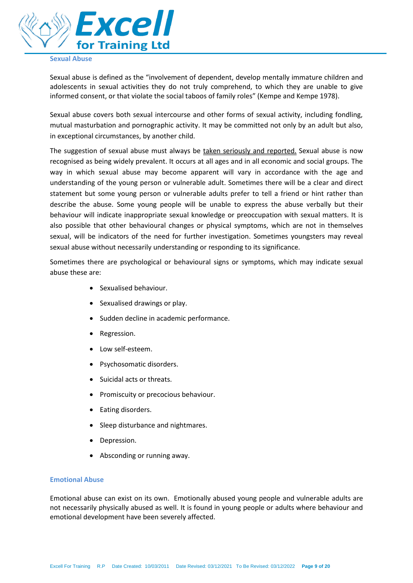

# **Sexual Abuse**

Sexual abuse is defined as the "involvement of dependent, develop mentally immature children and adolescents in sexual activities they do not truly comprehend, to which they are unable to give informed consent, or that violate the social taboos of family roles" (Kempe and Kempe 1978).

Sexual abuse covers both sexual intercourse and other forms of sexual activity, including fondling, mutual masturbation and pornographic activity. It may be committed not only by an adult but also, in exceptional circumstances, by another child.

The suggestion of sexual abuse must always be taken seriously and reported. Sexual abuse is now recognised as being widely prevalent. It occurs at all ages and in all economic and social groups. The way in which sexual abuse may become apparent will vary in accordance with the age and understanding of the young person or vulnerable adult. Sometimes there will be a clear and direct statement but some young person or vulnerable adults prefer to tell a friend or hint rather than describe the abuse. Some young people will be unable to express the abuse verbally but their behaviour will indicate inappropriate sexual knowledge or preoccupation with sexual matters. It is also possible that other behavioural changes or physical symptoms, which are not in themselves sexual, will be indicators of the need for further investigation. Sometimes youngsters may reveal sexual abuse without necessarily understanding or responding to its significance.

Sometimes there are psychological or behavioural signs or symptoms, which may indicate sexual abuse these are:

- Sexualised behaviour.
- Sexualised drawings or play.
- Sudden decline in academic performance.
- Regression.
- Low self-esteem.
- Psychosomatic disorders.
- Suicidal acts or threats.
- Promiscuity or precocious behaviour.
- Eating disorders.
- Sleep disturbance and nightmares.
- Depression.
- Absconding or running away.

#### **Emotional Abuse**

Emotional abuse can exist on its own. Emotionally abused young people and vulnerable adults are not necessarily physically abused as well. It is found in young people or adults where behaviour and emotional development have been severely affected.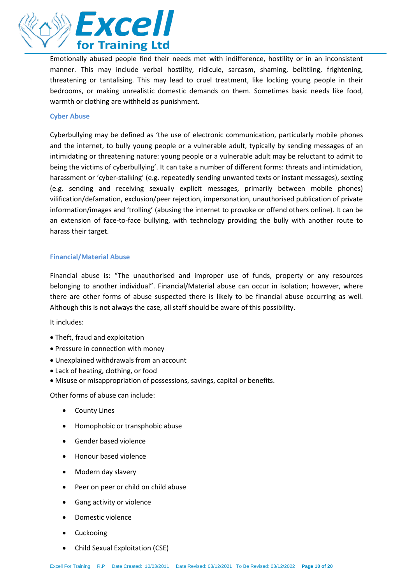

Emotionally abused people find their needs met with indifference, hostility or in an inconsistent manner. This may include verbal hostility, ridicule, sarcasm, shaming, belittling, frightening, threatening or tantalising. This may lead to cruel treatment, like locking young people in their bedrooms, or making unrealistic domestic demands on them. Sometimes basic needs like food, warmth or clothing are withheld as punishment.

#### **Cyber Abuse**

Cyberbullying may be defined as 'the use of electronic communication, particularly mobile phones and the internet, to bully young people or a vulnerable adult, typically by sending messages of an intimidating or threatening nature: young people or a vulnerable adult may be reluctant to admit to being the victims of cyberbullying'. It can take a number of different forms: threats and intimidation, harassment or 'cyber-stalking' (e.g. repeatedly sending unwanted texts or instant messages), sexting (e.g. sending and receiving sexually explicit messages, primarily between mobile phones) vilification/defamation, exclusion/peer rejection, impersonation, unauthorised publication of private information/images and 'trolling' (abusing the internet to provoke or offend others online). It can be an extension of face-to-face bullying, with technology providing the bully with another route to harass their target.

#### **Financial/Material Abuse**

Financial abuse is: "The unauthorised and improper use of funds, property or any resources belonging to another individual". Financial/Material abuse can occur in isolation; however, where there are other forms of abuse suspected there is likely to be financial abuse occurring as well. Although this is not always the case, all staff should be aware of this possibility.

It includes:

- Theft, fraud and exploitation
- Pressure in connection with money
- Unexplained withdrawals from an account
- Lack of heating, clothing, or food
- Misuse or misappropriation of possessions, savings, capital or benefits.

Other forms of abuse can include:

- County Lines
- Homophobic or transphobic abuse
- Gender based violence
- Honour based violence
- Modern day slavery
- Peer on peer or child on child abuse
- Gang activity or violence
- Domestic violence
- Cuckooing
- Child Sexual Exploitation (CSE)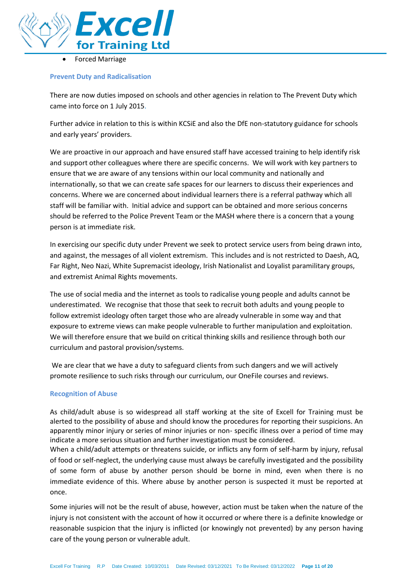

• Forced Marriage

#### **Prevent Duty and Radicalisation**

There are now duties imposed on schools and other agencies in relation to The Prevent Duty which came into force on 1 July 2015.

Further advice in relation to this is within KCSiE and also the DfE non-statutory guidance for schools and early years' providers.

We are proactive in our approach and have ensured staff have accessed training to help identify risk and support other colleagues where there are specific concerns. We will work with key partners to ensure that we are aware of any tensions within our local community and nationally and internationally, so that we can create safe spaces for our learners to discuss their experiences and concerns. Where we are concerned about individual learners there is a referral pathway which all staff will be familiar with. Initial advice and support can be obtained and more serious concerns should be referred to the Police Prevent Team or the MASH where there is a concern that a young person is at immediate risk.

In exercising our specific duty under Prevent we seek to protect service users from being drawn into, and against, the messages of all violent extremism. This includes and is not restricted to Daesh, AQ, Far Right, Neo Nazi, White Supremacist ideology, Irish Nationalist and Loyalist paramilitary groups, and extremist Animal Rights movements.

The use of social media and the internet as tools to radicalise young people and adults cannot be underestimated. We recognise that those that seek to recruit both adults and young people to follow extremist ideology often target those who are already vulnerable in some way and that exposure to extreme views can make people vulnerable to further manipulation and exploitation. We will therefore ensure that we build on critical thinking skills and resilience through both our curriculum and pastoral provision/systems.

We are clear that we have a duty to safeguard clients from such dangers and we will actively promote resilience to such risks through our curriculum, our OneFile courses and reviews.

#### **Recognition of Abuse**

As child/adult abuse is so widespread all staff working at the site of Excell for Training must be alerted to the possibility of abuse and should know the procedures for reporting their suspicions. An apparently minor injury or series of minor injuries or non- specific illness over a period of time may indicate a more serious situation and further investigation must be considered.

When a child/adult attempts or threatens suicide, or inflicts any form of self-harm by injury, refusal of food or self-neglect, the underlying cause must always be carefully investigated and the possibility of some form of abuse by another person should be borne in mind, even when there is no immediate evidence of this. Where abuse by another person is suspected it must be reported at once.

Some injuries will not be the result of abuse, however, action must be taken when the nature of the injury is not consistent with the account of how it occurred or where there is a definite knowledge or reasonable suspicion that the injury is inflicted (or knowingly not prevented) by any person having care of the young person or vulnerable adult.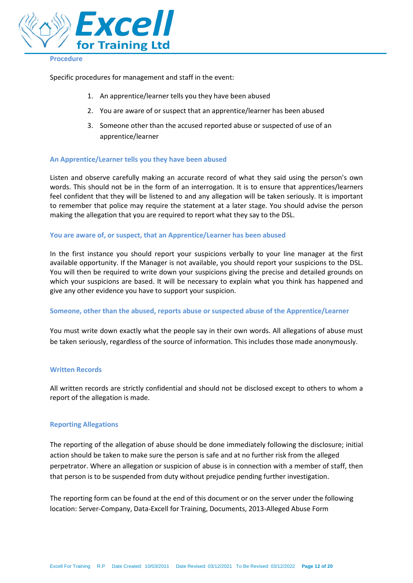

#### **Procedure**

Specific procedures for management and staff in the event:

- 1. An apprentice/learner tells you they have been abused
- 2. You are aware of or suspect that an apprentice/learner has been abused
- 3. Someone other than the accused reported abuse or suspected of use of an apprentice/learner

#### **An Apprentice/Learner tells you they have been abused**

Listen and observe carefully making an accurate record of what they said using the person's own words. This should not be in the form of an interrogation. It is to ensure that apprentices/learners feel confident that they will be listened to and any allegation will be taken seriously. It is important to remember that police may require the statement at a later stage. You should advise the person making the allegation that you are required to report what they say to the DSL.

#### **You are aware of, or suspect, that an Apprentice/Learner has been abused**

In the first instance you should report your suspicions verbally to your line manager at the first available opportunity. If the Manager is not available, you should report your suspicions to the DSL. You will then be required to write down your suspicions giving the precise and detailed grounds on which your suspicions are based. It will be necessary to explain what you think has happened and give any other evidence you have to support your suspicion.

#### **Someone, other than the abused, reports abuse or suspected abuse of the Apprentice/Learner**

You must write down exactly what the people say in their own words. All allegations of abuse must be taken seriously, regardless of the source of information. This includes those made anonymously.

# **Written Records**

All written records are strictly confidential and should not be disclosed except to others to whom a report of the allegation is made.

# **Reporting Allegations**

The reporting of the allegation of abuse should be done immediately following the disclosure; initial action should be taken to make sure the person is safe and at no further risk from the alleged perpetrator. Where an allegation or suspicion of abuse is in connection with a member of staff, then that person is to be suspended from duty without prejudice pending further investigation.

The reporting form can be found at the end of this document or on the server under the following location: Server-Company, Data-Excell for Training, Documents, 2013-Alleged Abuse Form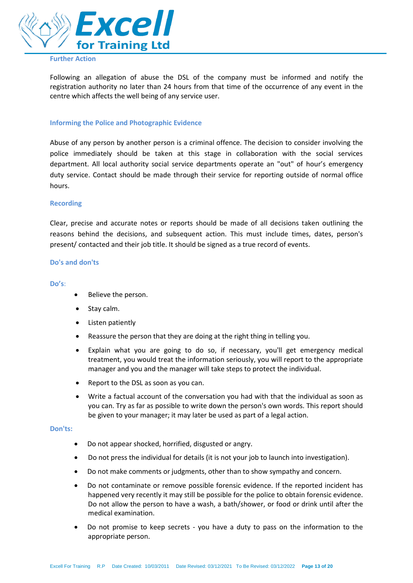

# **Further Action**

Following an allegation of abuse the DSL of the company must be informed and notify the registration authority no later than 24 hours from that time of the occurrence of any event in the centre which affects the well being of any service user.

#### **Informing the Police and Photographic Evidence**

Abuse of any person by another person is a criminal offence. The decision to consider involving the police immediately should be taken at this stage in collaboration with the social services department. All local authority social service departments operate an "out" of hour's emergency duty service. Contact should be made through their service for reporting outside of normal office hours.

#### **Recording**

Clear, precise and accurate notes or reports should be made of all decisions taken outlining the reasons behind the decisions, and subsequent action. This must include times, dates, person's present/ contacted and their job title. It should be signed as a true record of events.

#### **Do's and don'ts**

#### **Do's**:

- Believe the person.
- Stav calm.
- Listen patiently
- Reassure the person that they are doing at the right thing in telling you.
- Explain what you are going to do so, if necessary, you'll get emergency medical treatment, you would treat the information seriously, you will report to the appropriate manager and you and the manager will take steps to protect the individual.
- Report to the DSL as soon as you can.
- Write a factual account of the conversation you had with that the individual as soon as you can. Try as far as possible to write down the person's own words. This report should be given to your manager; it may later be used as part of a legal action.

#### **Don'ts:**

- Do not appear shocked, horrified, disgusted or angry.
- Do not press the individual for details (it is not your job to launch into investigation).
- Do not make comments or judgments, other than to show sympathy and concern.
- Do not contaminate or remove possible forensic evidence. If the reported incident has happened very recently it may still be possible for the police to obtain forensic evidence. Do not allow the person to have a wash, a bath/shower, or food or drink until after the medical examination.
- Do not promise to keep secrets you have a duty to pass on the information to the appropriate person.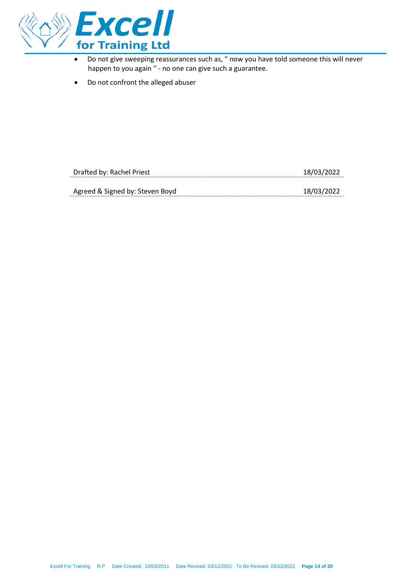

- Do not give sweeping reassurances such as, " now you have told someone this will never happen to you again '' - no one can give such a guarantee.
- Do not confront the alleged abuser

| Drafted by: Rachel Priest       | 18/03/2022 |
|---------------------------------|------------|
|                                 |            |
| Agreed & Signed by: Steven Boyd | 18/03/2022 |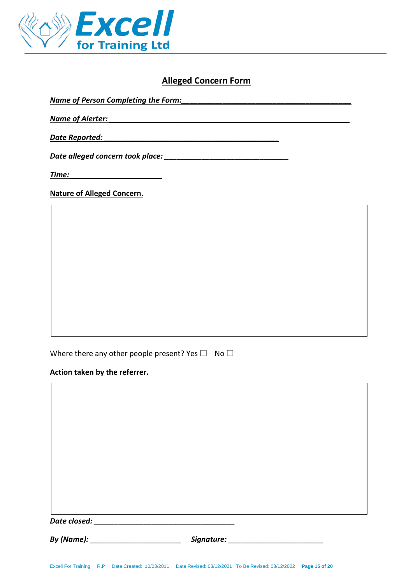

# **Alleged Concern Form**

*Name of Person Completing the Form:*<br> $\blacksquare$ 

*Name of Alerter: \_\_\_\_\_\_\_\_\_\_\_\_\_\_\_\_\_\_\_\_\_\_\_\_\_\_\_\_\_\_\_\_\_\_\_\_\_\_\_\_\_\_\_\_\_\_\_\_\_\_\_\_\_\_\_\_\_\_*

*Date Reported:*  $\blacksquare$ 

*Date alleged concern took place: \_\_\_\_\_\_\_\_\_\_\_\_\_\_\_\_\_\_\_\_\_\_\_\_\_\_\_\_\_\_*

*Time: \_\_\_\_\_\_\_\_\_\_\_\_\_\_\_\_\_\_\_\_\_\_*

# **Nature of Alleged Concern.**

Where there any other people present? Yes  $\Box$  No  $\Box$ 

# **Action taken by the referrer.**

| Date closed: |  |  |  |
|--------------|--|--|--|
|              |  |  |  |
|              |  |  |  |
|              |  |  |  |
|              |  |  |  |

*By (Name): \_\_\_\_\_\_\_\_\_\_\_\_\_\_\_\_\_\_\_\_\_\_ Signature: \_\_\_\_\_\_\_\_\_\_\_\_\_\_\_\_\_\_\_\_\_\_\_*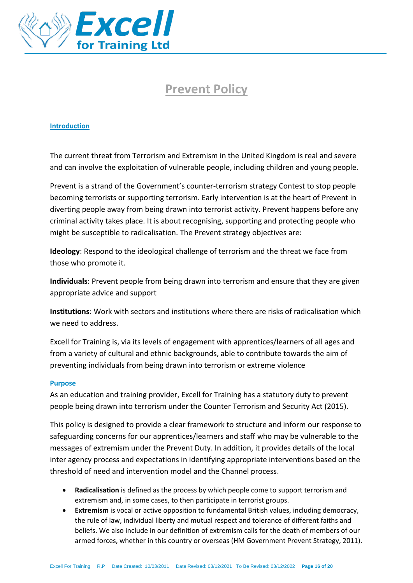

# **Prevent Policy**

# **Introduction**

The current threat from Terrorism and Extremism in the United Kingdom is real and severe and can involve the exploitation of vulnerable people, including children and young people.

Prevent is a strand of the Government's counter-terrorism strategy Contest to stop people becoming terrorists or supporting terrorism. Early intervention is at the heart of Prevent in diverting people away from being drawn into terrorist activity. Prevent happens before any criminal activity takes place. It is about recognising, supporting and protecting people who might be susceptible to radicalisation. The Prevent strategy objectives are:

**Ideology**: Respond to the ideological challenge of terrorism and the threat we face from those who promote it.

**Individuals**: Prevent people from being drawn into terrorism and ensure that they are given appropriate advice and support

**Institutions**: Work with sectors and institutions where there are risks of radicalisation which we need to address.

Excell for Training is, via its levels of engagement with apprentices/learners of all ages and from a variety of cultural and ethnic backgrounds, able to contribute towards the aim of preventing individuals from being drawn into terrorism or extreme violence

# **Purpose**

As an education and training provider, Excell for Training has a statutory duty to prevent people being drawn into terrorism under the Counter Terrorism and Security Act (2015).

This policy is designed to provide a clear framework to structure and inform our response to safeguarding concerns for our apprentices/learners and staff who may be vulnerable to the messages of extremism under the Prevent Duty. In addition, it provides details of the local inter agency process and expectations in identifying appropriate interventions based on the threshold of need and intervention model and the Channel process.

- **Radicalisation** is defined as the process by which people come to support terrorism and extremism and, in some cases, to then participate in terrorist groups.
- **Extremism** is vocal or active opposition to fundamental British values, including democracy, the rule of law, individual liberty and mutual respect and tolerance of different faiths and beliefs. We also include in our definition of extremism calls for the death of members of our armed forces, whether in this country or overseas (HM Government Prevent Strategy, 2011).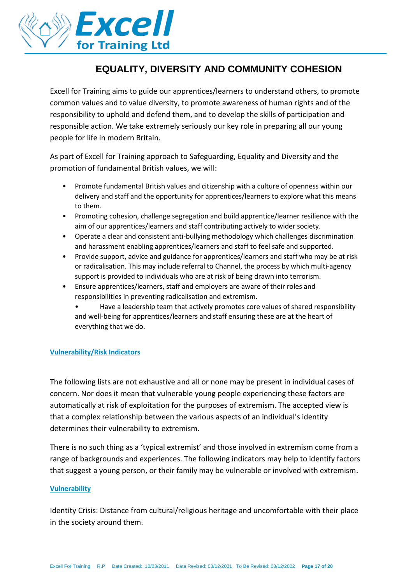

# **EQUALITY, DIVERSITY AND COMMUNITY COHESION**

Excell for Training aims to guide our apprentices/learners to understand others, to promote common values and to value diversity, to promote awareness of human rights and of the responsibility to uphold and defend them, and to develop the skills of participation and responsible action. We take extremely seriously our key role in preparing all our young people for life in modern Britain.

As part of Excell for Training approach to Safeguarding, Equality and Diversity and the promotion of fundamental British values, we will:

- Promote fundamental British values and citizenship with a culture of openness within our delivery and staff and the opportunity for apprentices/learners to explore what this means to them.
- Promoting cohesion, challenge segregation and build apprentice/learner resilience with the aim of our apprentices/learners and staff contributing actively to wider society.
- Operate a clear and consistent anti-bullying methodology which challenges discrimination and harassment enabling apprentices/learners and staff to feel safe and supported.
- Provide support, advice and guidance for apprentices/learners and staff who may be at risk or radicalisation. This may include referral to Channel, the process by which multi-agency support is provided to individuals who are at risk of being drawn into terrorism.
- Ensure apprentices/learners, staff and employers are aware of their roles and responsibilities in preventing radicalisation and extremism.
	- Have a leadership team that actively promotes core values of shared responsibility and well-being for apprentices/learners and staff ensuring these are at the heart of everything that we do.

# **Vulnerability/Risk Indicators**

The following lists are not exhaustive and all or none may be present in individual cases of concern. Nor does it mean that vulnerable young people experiencing these factors are automatically at risk of exploitation for the purposes of extremism. The accepted view is that a complex relationship between the various aspects of an individual's identity determines their vulnerability to extremism.

There is no such thing as a 'typical extremist' and those involved in extremism come from a range of backgrounds and experiences. The following indicators may help to identify factors that suggest a young person, or their family may be vulnerable or involved with extremism.

# **Vulnerability**

Identity Crisis: Distance from cultural/religious heritage and uncomfortable with their place in the society around them.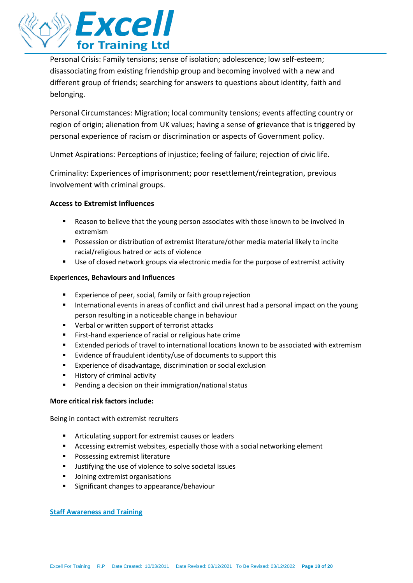

Personal Crisis: Family tensions; sense of isolation; adolescence; low self-esteem; disassociating from existing friendship group and becoming involved with a new and different group of friends; searching for answers to questions about identity, faith and belonging.

Personal Circumstances: Migration; local community tensions; events affecting country or region of origin; alienation from UK values; having a sense of grievance that is triggered by personal experience of racism or discrimination or aspects of Government policy.

Unmet Aspirations: Perceptions of injustice; feeling of failure; rejection of civic life.

Criminality: Experiences of imprisonment; poor resettlement/reintegration, previous involvement with criminal groups.

# **Access to Extremist Influences**

- Reason to believe that the young person associates with those known to be involved in extremism
- Possession or distribution of extremist literature/other media material likely to incite racial/religious hatred or acts of violence
- Use of closed network groups via electronic media for the purpose of extremist activity

# **Experiences, Behaviours and Influences**

- Experience of peer, social, family or faith group rejection
- **■** International events in areas of conflict and civil unrest had a personal impact on the young person resulting in a noticeable change in behaviour
- Verbal or written support of terrorist attacks
- First-hand experience of racial or religious hate crime
- Extended periods of travel to international locations known to be associated with extremism
- Evidence of fraudulent identity/use of documents to support this
- Experience of disadvantage, discrimination or social exclusion
- History of criminal activity
- Pending a decision on their immigration/national status

# **More critical risk factors include:**

Being in contact with extremist recruiters

- Articulating support for extremist causes or leaders
- Accessing extremist websites, especially those with a social networking element
- Possessing extremist literature
- Justifying the use of violence to solve societal issues
- Joining extremist organisations
- Significant changes to appearance/behaviour

# **Staff Awareness and Training**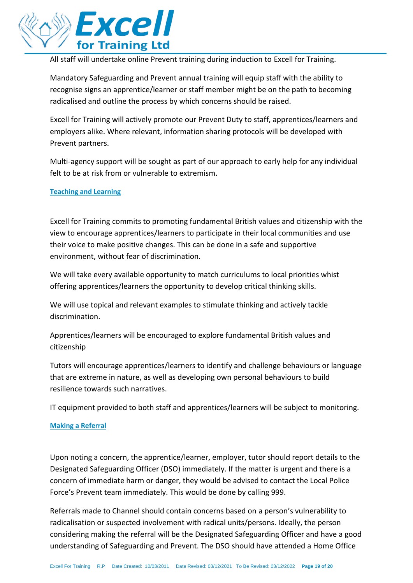

All staff will undertake online Prevent training during induction to Excell for Training.

Mandatory Safeguarding and Prevent annual training will equip staff with the ability to recognise signs an apprentice/learner or staff member might be on the path to becoming radicalised and outline the process by which concerns should be raised.

Excell for Training will actively promote our Prevent Duty to staff, apprentices/learners and employers alike. Where relevant, information sharing protocols will be developed with Prevent partners.

Multi-agency support will be sought as part of our approach to early help for any individual felt to be at risk from or vulnerable to extremism.

# **Teaching and Learning**

Excell for Training commits to promoting fundamental British values and citizenship with the view to encourage apprentices/learners to participate in their local communities and use their voice to make positive changes. This can be done in a safe and supportive environment, without fear of discrimination.

We will take every available opportunity to match curriculums to local priorities whist offering apprentices/learners the opportunity to develop critical thinking skills.

We will use topical and relevant examples to stimulate thinking and actively tackle discrimination.

Apprentices/learners will be encouraged to explore fundamental British values and citizenship

Tutors will encourage apprentices/learners to identify and challenge behaviours or language that are extreme in nature, as well as developing own personal behaviours to build resilience towards such narratives.

IT equipment provided to both staff and apprentices/learners will be subject to monitoring.

# **Making a Referral**

Upon noting a concern, the apprentice/learner, employer, tutor should report details to the Designated Safeguarding Officer (DSO) immediately. If the matter is urgent and there is a concern of immediate harm or danger, they would be advised to contact the Local Police Force's Prevent team immediately. This would be done by calling 999.

Referrals made to Channel should contain concerns based on a person's vulnerability to radicalisation or suspected involvement with radical units/persons. Ideally, the person considering making the referral will be the Designated Safeguarding Officer and have a good understanding of Safeguarding and Prevent. The DSO should have attended a Home Office